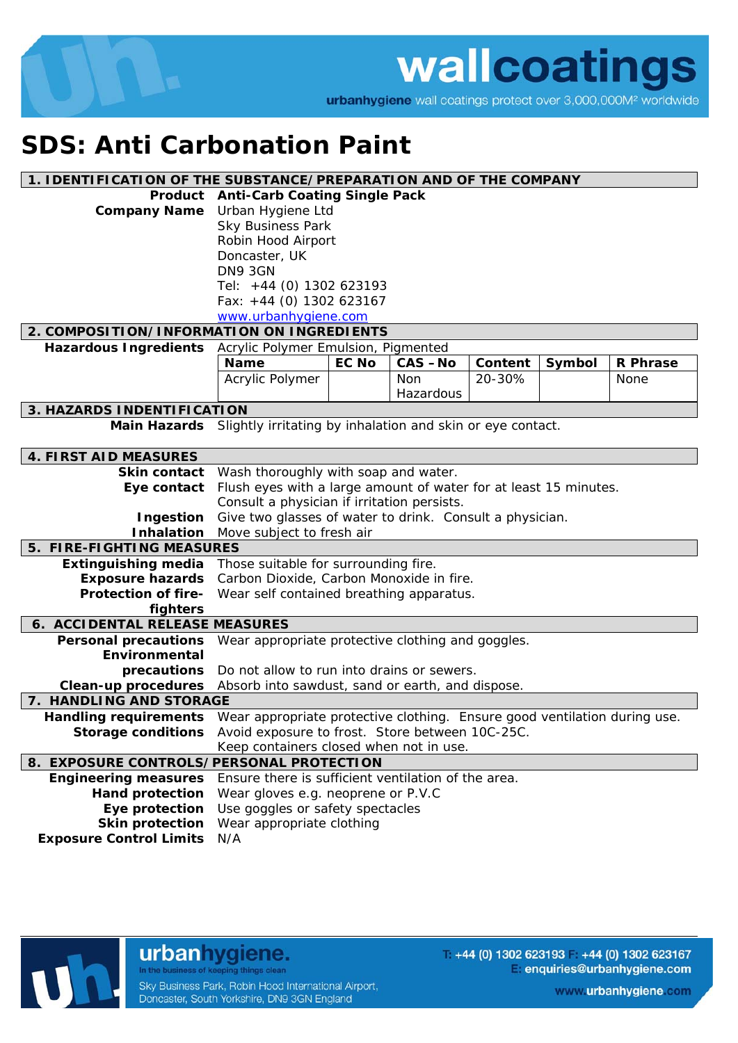

wallcoatings

urbanhygiene wall coatings protect over 3,000,000M<sup>2</sup> worldwide

## **SDS: Anti Carbonation Paint**

| 1. IDENTIFICATION OF THE SUBSTANCE/PREPARATION AND OF THE COMPANY |                                                                           |                          |               |         |        |                 |
|-------------------------------------------------------------------|---------------------------------------------------------------------------|--------------------------|---------------|---------|--------|-----------------|
| Product                                                           | <b>Anti-Carb Coating Single Pack</b>                                      |                          |               |         |        |                 |
| <b>Company Name</b>                                               | Urban Hygiene Ltd                                                         |                          |               |         |        |                 |
|                                                                   | <b>Sky Business Park</b>                                                  |                          |               |         |        |                 |
|                                                                   | Robin Hood Airport                                                        |                          |               |         |        |                 |
|                                                                   | Doncaster, UK                                                             |                          |               |         |        |                 |
|                                                                   | DN9 3GN                                                                   |                          |               |         |        |                 |
|                                                                   | Tel: +44 (0) 1302 623193                                                  |                          |               |         |        |                 |
|                                                                   |                                                                           | Fax: +44 (0) 1302 623167 |               |         |        |                 |
|                                                                   | www.urbanhygiene.com                                                      |                          |               |         |        |                 |
| 2. COMPOSITION/INFORMATION ON INGREDIENTS                         |                                                                           |                          |               |         |        |                 |
| <b>Hazardous Ingredients</b>                                      | Acrylic Polymer Emulsion, Pigmented                                       |                          |               |         |        |                 |
|                                                                   | <b>Name</b>                                                               | <b>EC No</b>             | <b>CAS-No</b> | Content | Symbol | <b>R</b> Phrase |
|                                                                   | Acrylic Polymer                                                           |                          | <b>Non</b>    | 20-30%  |        | None            |
|                                                                   |                                                                           |                          | Hazardous     |         |        |                 |
| 3. HAZARDS INDENTIFICATION                                        |                                                                           |                          |               |         |        |                 |
|                                                                   | Main Hazards Slightly irritating by inhalation and skin or eye contact.   |                          |               |         |        |                 |
|                                                                   |                                                                           |                          |               |         |        |                 |
| <b>4. FIRST AID MEASURES</b>                                      |                                                                           |                          |               |         |        |                 |
|                                                                   | Skin contact Wash thoroughly with soap and water.                         |                          |               |         |        |                 |
| Eye contact                                                       | Flush eyes with a large amount of water for at least 15 minutes.          |                          |               |         |        |                 |
|                                                                   | Consult a physician if irritation persists.                               |                          |               |         |        |                 |
| Ingestion                                                         | Give two glasses of water to drink. Consult a physician.                  |                          |               |         |        |                 |
| <b>Inhalation</b>                                                 | Move subject to fresh air                                                 |                          |               |         |        |                 |
| 5. FIRE-FIGHTING MEASURES                                         |                                                                           |                          |               |         |        |                 |
| <b>Extinguishing media</b>                                        | Those suitable for surrounding fire.                                      |                          |               |         |        |                 |
| <b>Exposure hazards</b>                                           | Carbon Dioxide, Carbon Monoxide in fire.                                  |                          |               |         |        |                 |
| <b>Protection of fire-</b>                                        | Wear self contained breathing apparatus.                                  |                          |               |         |        |                 |
| fighters                                                          |                                                                           |                          |               |         |        |                 |
| 6. ACCIDENTAL RELEASE MEASURES                                    |                                                                           |                          |               |         |        |                 |
| <b>Personal precautions</b>                                       | Wear appropriate protective clothing and goggles.                         |                          |               |         |        |                 |
| Environmental                                                     |                                                                           |                          |               |         |        |                 |
| precautions                                                       | Do not allow to run into drains or sewers.                                |                          |               |         |        |                 |
| <b>Clean-up procedures</b>                                        | Absorb into sawdust, sand or earth, and dispose.                          |                          |               |         |        |                 |
| 7. HANDLING AND STORAGE                                           |                                                                           |                          |               |         |        |                 |
| <b>Handling requirements</b>                                      | Wear appropriate protective clothing. Ensure good ventilation during use. |                          |               |         |        |                 |
| <b>Storage conditions</b>                                         | Avoid exposure to frost. Store between 10C-25C.                           |                          |               |         |        |                 |
|                                                                   | Keep containers closed when not in use.                                   |                          |               |         |        |                 |
| 8. EXPOSURE CONTROLS/PERSONAL PROTECTION                          |                                                                           |                          |               |         |        |                 |
| <b>Engineering measures</b>                                       | Ensure there is sufficient ventilation of the area.                       |                          |               |         |        |                 |
| <b>Hand protection</b>                                            | Wear gloves e.g. neoprene or P.V.C                                        |                          |               |         |        |                 |
| Eye protection                                                    | Use goggles or safety spectacles                                          |                          |               |         |        |                 |
| <b>Skin protection</b>                                            | Wear appropriate clothing                                                 |                          |               |         |        |                 |
| <b>Exposure Control Limits</b>                                    | N/A                                                                       |                          |               |         |        |                 |
|                                                                   |                                                                           |                          |               |         |        |                 |



urbanhygiene. In the business of keeping things clean

Sky Business Park, Robin Hood International Airport, Doncaster, South Yorkshire, DN9 3GN England